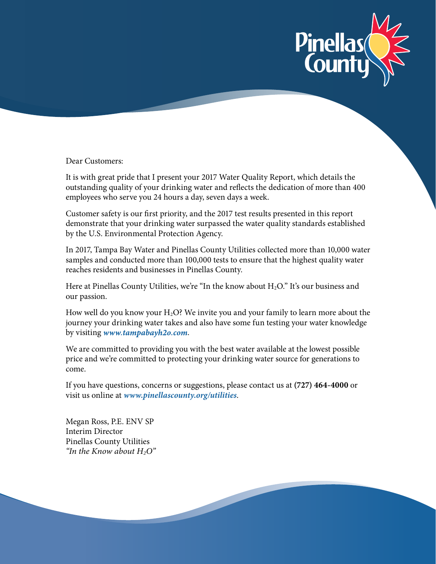

Dear Customers:

It is with great pride that I present your 2017 Water Quality Report, which details the outstanding quality of your drinking water and reflects the dedication of more than 400 employees who serve you 24 hours a day, seven days a week.

Customer safety is our first priority, and the 2017 test results presented in this report demonstrate that your drinking water surpassed the water quality standards established by the U.S. Environmental Protection Agency.

In 2017, Tampa Bay Water and Pinellas County Utilities collected more than 10,000 water samples and conducted more than 100,000 tests to ensure that the highest quality water reaches residents and businesses in Pinellas County.

Here at Pinellas County Utilities, we're "In the know about  $H_2O$ ." It's our business and our passion.

How well do you know your  $H_2O$ ? We invite you and your family to learn more about the journey your drinking water takes and also have some fun testing your water knowledge by visiting *www.tampabayh2o.com*.

We are committed to providing you with the best water available at the lowest possible price and we're committed to protecting your drinking water source for generations to come.

If you have questions, concerns or suggestions, please contact us at **(727) 464-4000** or visit us online at *www.pinellascounty.org/utilities*.

Megan Ross, P.E. ENV SP Interim Director Pinellas County Utilities *"In the Know about H2O"*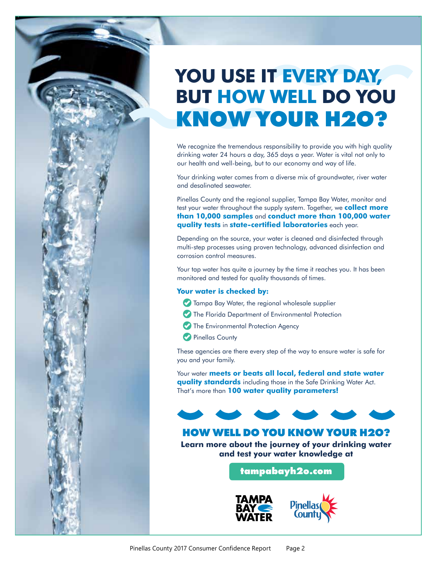# **KNOW YOUR H2O? YOU USE IT EVERY DAY, BUT HOW WELL DO YOU**

We recognize the tremendous responsibility to provide you with high quality drinking water 24 hours a day, 365 days a year. Water is vital not only to our health and well-being, but to our economy and way of life.

Your drinking water comes from a diverse mix of groundwater, river water and desalinated seawater.

Pinellas County and the regional supplier, Tampa Bay Water, monitor and test your water throughout the supply system. Together, we **collect more than 10,000 samples** and **conduct more than 100,000 water quality tests** in **state-certified laboratories** each year.

Depending on the source, your water is cleaned and disinfected through multi-step processes using proven technology, advanced disinfection and corrosion control measures.

Your tap water has quite a journey by the time it reaches you. It has been monitored and tested for quality thousands of times.

#### **Your water is checked by:**

- **Tampa Bay Water, the regional wholesale supplier**
- The Florida Department of Environmental Protection
- The Environmental Protection Agency
- Pinellas County

These agencies are there every step of the way to ensure water is safe for you and your family.

Your water **meets or beats all local, federal and state water quality standards** including those in the Safe Drinking Water Act. That's more than **100 water quality parameters!**



### **HOW WELL DO YOU KNOW YOUR H2O?**

**Learn more about the journey of your drinking water and test your water knowledge at** 

**[tampabayh2o.com](www.tampabayh2o.com)**



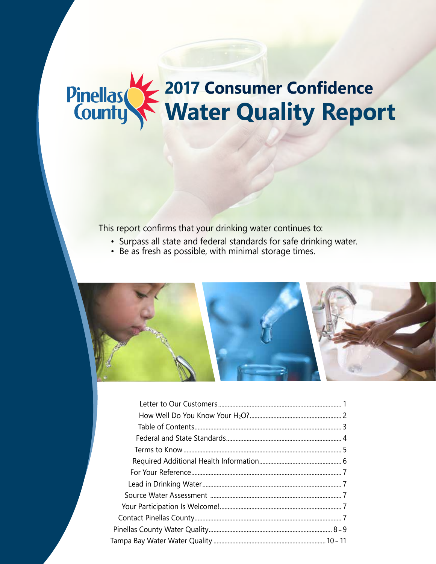## Pinellas **2017 Consumer Confidence Water Quality Report**

This report confirms that your drinking water continues to:

- Surpass all state and federal standards for safe drinking water.
- Be as fresh as possible, with minimal storage times.

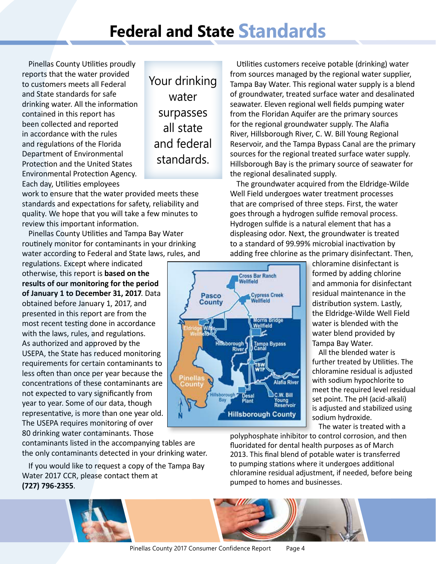# **Federal and State Standards**

Pinellas County Utilities proudly reports that the water provided to customers meets all Federal and State standards for safe drinking water. All the information contained in this report has been collected and reported in accordance with the rules and regulations of the Florida Department of Environmental Protection and the United States Environmental Protection Agency. Each day, Utilities employees

Your drinking water surpasses all state and federal standards.

work to ensure that the water provided meets these standards and expectations for safety, reliability and quality. We hope that you will take a few minutes to review this important information.

Pinellas County Utilities and Tampa Bay Water routinely monitor for contaminants in your drinking water according to Federal and State laws, rules, and

regulations. Except where indicated otherwise, this report is **based on the results of our monitoring for the period of January 1 to December 31, 2017**. Data obtained before January 1, 2017, and presented in this report are from the most recent testing done in accordance with the laws, rules, and regulations. As authorized and approved by the USEPA, the State has reduced monitoring requirements for certain contaminants to less often than once per year because the concentrations of these contaminants are not expected to vary significantly from year to year. Some of our data, though representative, is more than one year old. The USEPA requires monitoring of over 80 drinking water contaminants. Those

contaminants listed in the accompanying tables are the only contaminants detected in your drinking water.

If you would like to request a copy of the Tampa Bay Water 2017 CCR, please contact them at **(727) 796-2355**.

Utilities customers receive potable (drinking) water from sources managed by the regional water supplier, Tampa Bay Water. This regional water supply is a blend of groundwater, treated surface water and desalinated seawater. Eleven regional well fields pumping water from the Floridan Aquifer are the primary sources for the regional groundwater supply. The Alafia River, Hillsborough River, C. W. Bill Young Regional Reservoir, and the Tampa Bypass Canal are the primary sources for the regional treated surface water supply. Hillsborough Bay is the primary source of seawater for the regional desalinated supply.

The groundwater acquired from the Eldridge-Wilde Well Field undergoes water treatment processes that are comprised of three steps. First, the water goes through a hydrogen sulfide removal process. Hydrogen sulfide is a natural element that has a displeasing odor. Next, the groundwater is treated to a standard of 99.99% microbial inactivation by adding free chlorine as the primary disinfectant. Then,

**Cross Bar Ranch** Wellfield

Pasco

**County** 

**Pinellas** 

**Hillsborough**<br>River

sborough

**Cypress Creek** 

orns Bridge Wellfield

.<br>Tampa Bypass<br>Canal

**Hillsborough County** 

Alafia River

C.W. Bill Young<br>Reservoir

ellfield

chloramine disinfectant is formed by adding chlorine and ammonia for disinfectant residual maintenance in the distribution system. Lastly, the Eldridge-Wilde Well Field water is blended with the water blend provided by Tampa Bay Water.

All the blended water is further treated by Utilities. The chloramine residual is adjusted with sodium hypochlorite to meet the required level residual set point. The pH (acid-alkali) is adjusted and stabilized using sodium hydroxide.

The water is treated with a

polyphosphate inhibitor to control corrosion, and then fluoridated for dental health purposes as of March 2013. This final blend of potable water is transferred to pumping stations where it undergoes additional chloramine residual adjustment, if needed, before being pumped to homes and businesses.

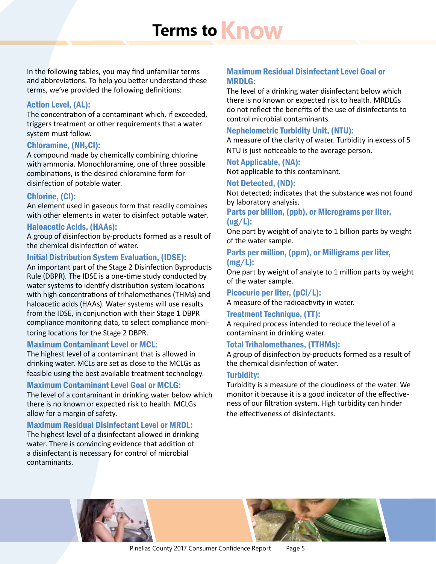# **Terms to Know**

In the following tables, you may find unfamiliar terms and abbreviations. To help you better understand these terms, we've provided the following definitions:

#### Action Level, (AL):

The concentration of a contaminant which, if exceeded, triggers treatment or other requirements that a water system must follow.

#### Chloramine, (NH<sub>2</sub>Cl):

A compound made by chemically combining chlorine with ammonia. Monochloramine, one of three possible combinations, is the desired chloramine form for disinfection of potable water.

#### Chlorine, (Cl):

An element used in gaseous form that readily combines with other elements in water to disinfect potable water.

#### Haloacetic Acids, (HAAs):

A group of disinfection by-products formed as a result of the chemical disinfection of water.

#### Initial Distribution System Evaluation, (IDSE):

An important part of the Stage 2 Disinfection Byproducts Rule (DBPR). The IDSE is a one-time study conducted by water systems to identify distribution system locations with high concentrations of trihalomethanes (THMs) and haloacetic acids (HAAs). Water systems will use results from the IDSE, in conjunction with their Stage 1 DBPR compliance monitoring data, to select compliance monitoring locations for the Stage 2 DBPR.

#### Maximum Contaminant Level or MCL:

The highest level of a contaminant that is allowed in drinking water. MCLs are set as close to the MCLGs as feasible using the best available treatment technology.

#### Maximum Contaminant Level Goal or MCLG:

The level of a contaminant in drinking water below which there is no known or expected risk to health. MCLGs allow for a margin of safety.

#### Maximum Residual Disinfectant Level or MRDL:

The highest level of a disinfectant allowed in drinking water. There is convincing evidence that addition of a disinfectant is necessary for control of microbial contaminants.

#### Maximum Residual Disinfectant Level Goal or MRDLG:

The level of a drinking water disinfectant below which there is no known or expected risk to health. MRDLGs do not reflect the benefits of the use of disinfectants to control microbial contaminants.

#### Nephelometric Turbidity Unit, (NTU):

A measure of the clarity of water. Turbidity in excess of 5 NTU is just noticeable to the average person.

### Not Applicable, (NA):

Not applicable to this contaminant.

#### Not Detected, (ND):

Not detected; indicates that the substance was not found by laboratory analysis.

Parts per billion, (ppb), or Micrograms per liter, (ug/L):

One part by weight of analyte to 1 billion parts by weight of the water sample.

#### Parts per million, (ppm), or Milligrams per liter, (mg/L):

One part by weight of analyte to 1 million parts by weight of the water sample.

#### Picocurie per liter, (pCi/L):

A measure of the radioactivity in water.

#### Treatment Technique, (TT):

A required process intended to reduce the level of a contaminant in drinking water.

#### Total Trihalomethanes, (TTHMs):

A group of disinfection by-products formed as a result of the chemical disinfection of water.

#### Turbidity:

Turbidity is a measure of the cloudiness of the water. We monitor it because it is a good indicator of the effectiveness of our filtration system. High turbidity can hinder the effectiveness of disinfectants.

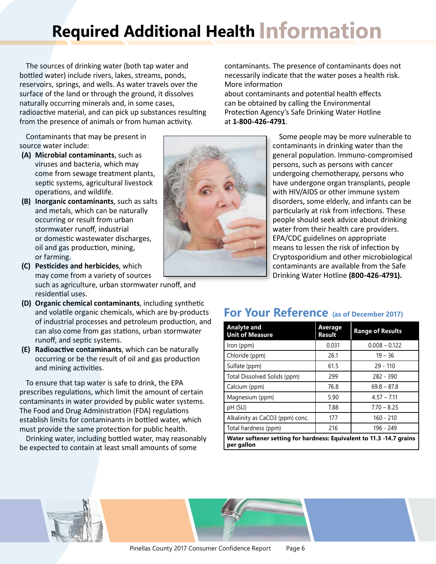# **Required Additional Health Information**

The sources of drinking water (both tap water and bottled water) include rivers, lakes, streams, ponds, reservoirs, springs, and wells. As water travels over the surface of the land or through the ground, it dissolves naturally occurring minerals and, in some cases, radioactive material, and can pick up substances resulting from the presence of animals or from human activity.

Contaminants that may be present in source water include:

- **(A) Microbial contaminants**, such as viruses and bacteria, which may come from sewage treatment plants, septic systems, agricultural livestock operations, and wildlife.
- **(B) Inorganic contaminants**, such as salts and metals, which can be naturally occurring or result from urban stormwater runoff, industrial or domestic wastewater discharges, oil and gas production, mining, or farming.
- **(C) Pesticides and herbicides**, which may come from a variety of sources such as agriculture, urban stormwater runoff, and residential uses.
- **(D) Organic chemical contaminants**, including synthetic and volatile organic chemicals, which are by-products of industrial processes and petroleum production, and can also come from gas stations, urban stormwater runoff, and septic systems.
- **(E) Radioactive contaminants**, which can be naturally occurring or be the result of oil and gas production and mining activities.

To ensure that tap water is safe to drink, the EPA prescribes regulations, which limit the amount of certain contaminants in water provided by public water systems. The Food and Drug Administration (FDA) regulations establish limits for contaminants in bottled water, which must provide the same protection for public health.

Drinking water, including bottled water, may reasonably be expected to contain at least small amounts of some



contaminants. The presence of contaminants does not necessarily indicate that the water poses a health risk. More information

about contaminants and potential health effects can be obtained by calling the Environmental Protection Agency's Safe Drinking Water Hotline at **1-800-426-4791**.

> Some people may be more vulnerable to contaminants in drinking water than the general population. Immuno-compromised persons, such as persons with cancer undergoing chemotherapy, persons who have undergone organ transplants, people with HIV/AIDS or other immune system disorders, some elderly, and infants can be particularly at risk from infections. These people should seek advice about drinking water from their health care providers. EPA/CDC guidelines on appropriate means to lessen the risk of infection by Cryptosporidium and other microbiological contaminants are available from the Safe Drinking Water Hotline **(800-426-4791).**

### **For Your Reference (as of December 2017)**

| <b>Analyte and</b><br><b>Unit of Measure</b>                                       | <b>Average</b><br><b>Result</b> | <b>Range of Results</b> |
|------------------------------------------------------------------------------------|---------------------------------|-------------------------|
| Iron (ppm)                                                                         | 0.031                           | $0.008 - 0.122$         |
| Chloride (ppm)                                                                     | 26.1                            | $19 - 36$               |
| Sulfate (ppm)                                                                      | 61.5                            | $29 - 110$              |
| Total Dissolved Solids (ppm)                                                       | 299                             | $282 - 390$             |
| Calcium (ppm)                                                                      | 76.8                            | $69.8 - 87.8$           |
| Magnesium (ppm)                                                                    | 5.90                            | $4.57 - 7.11$           |
| pH (SU)                                                                            | 7.88                            | $7.70 - 8.25$           |
| Alkalinity as CaCO3 (ppm) conc.                                                    | 177                             | $160 - 210$             |
| Total hardness (ppm)                                                               | 216                             | 196 - 249               |
| Water softener setting for hardness: Equivalent to 11.3 -14.7 grains<br>per gallon |                                 |                         |

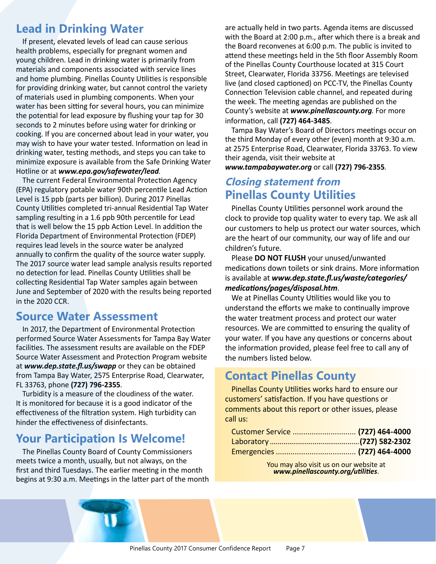### **Lead in Drinking Water**

If present, elevated levels of lead can cause serious health problems, especially for pregnant women and young children. Lead in drinking water is primarily from materials and components associated with service lines and home plumbing. Pinellas County Utilities is responsible for providing drinking water, but cannot control the variety of materials used in plumbing components. When your water has been sitting for several hours, you can minimize the potential for lead exposure by flushing your tap for 30 seconds to 2 minutes before using water for drinking or cooking. If you are concerned about lead in your water, you may wish to have your water tested. Information on lead in drinking water, testing methods, and steps you can take to minimize exposure is available from the Safe Drinking Water Hotline or at *www.epa.gov/safewater/lead*.

The current Federal Environmental Protection Agency (EPA) regulatory potable water 90th percentile Lead Action Level is 15 ppb (parts per billion). During 2017 Pinellas County Utilities completed tri-annual Residential Tap Water sampling resulting in a 1.6 ppb 90th percentile for Lead that is well below the 15 ppb Action Level. In addition the Florida Department of Environmental Protection (FDEP) requires lead levels in the source water be analyzed annually to confirm the quality of the source water supply. The 2017 source water lead sample analysis results reported no detection for lead. Pinellas County Utilities shall be collecting Residential Tap Water samples again between June and September of 2020 with the results being reported in the 2020 CCR.

### **Source Water Assessment**

In 2017, the Department of Environmental Protection performed Source Water Assessments for Tampa Bay Water facilities. The assessment results are available on the FDEP Source Water Assessment and Protection Program website at *www.dep.state.fl.us/swapp* or they can be obtained from Tampa Bay Water, 2575 Enterprise Road, Clearwater, FL 33763, phone **(727) 796-2355**.

Turbidity is a measure of the cloudiness of the water. It is monitored for because it is a good indicator of the effectiveness of the filtration system. High turbidity can hinder the effectiveness of disinfectants.

### **Your Participation Is Welcome!**

The Pinellas County Board of County Commissioners meets twice a month, usually, but not always, on the first and third Tuesdays. The earlier meeting in the month begins at 9:30 a.m. Meetings in the latter part of the month are actually held in two parts. Agenda items are discussed with the Board at 2:00 p.m., after which there is a break and the Board reconvenes at 6:00 p.m. The public is invited to attend these meetings held in the 5th floor Assembly Room of the Pinellas County Courthouse located at 315 Court Street, Clearwater, Florida 33756. Meetings are televised live (and closed captioned) on PCC-TV, the Pinellas County Connection Television cable channel, and repeated during the week. The meeting agendas are published on the County's website at *www.pinellascounty.org*. For more information, call **(727) 464-3485**.

Tampa Bay Water's Board of Directors meetings occur on the third Monday of every other (even) month at 9:30 a.m. at 2575 Enterprise Road, Clearwater, Florida 33763. To view their agenda, visit their website at *www.tampabaywater.org* or call **(727) 796-2355**.

### **Closing statement from Pinellas County Utilities**

Pinellas County Utilities personnel work around the clock to provide top quality water to every tap. We ask all our customers to help us protect our water sources, which are the heart of our community, our way of life and our children's future.

Please **DO NOT FLUSH** your unused/unwanted medications down toilets or sink drains. More information is available at *www.dep.state.fl.us/waste/categories/ medications/pages/disposal.htm*.

We at Pinellas County Utilities would like you to understand the efforts we make to continually improve the water treatment process and protect our water resources. We are committed to ensuring the quality of your water. If you have any questions or concerns about the information provided, please feel free to call any of the numbers listed below.

### **Contact Pinellas County**

Pinellas County Utilities works hard to ensure our customers' satisfaction. If you have questions or comments about this report or other issues, please call us:

| Customer Service  (727) 464-4000 |  |
|----------------------------------|--|
|                                  |  |
|                                  |  |

You may also visit us on our website at *www.pinellascounty.org/utilities*.

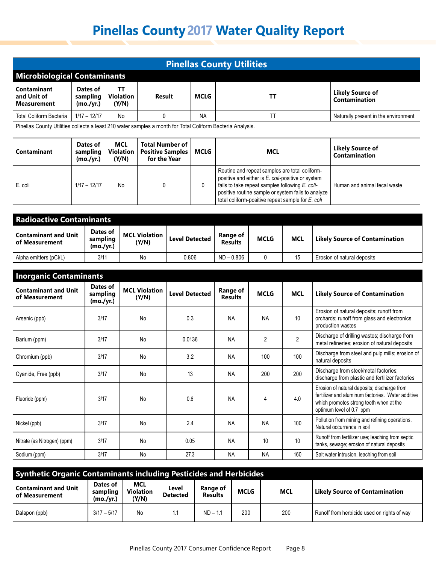| <b>Pinellas County Utilities</b>                 |                                   |                                 |        |           |    |                                      |  |  |  |  |
|--------------------------------------------------|-----------------------------------|---------------------------------|--------|-----------|----|--------------------------------------|--|--|--|--|
| <b>Microbiological Contaminants</b>              |                                   |                                 |        |           |    |                                      |  |  |  |  |
| Contaminant<br>and Unit of<br><b>Measurement</b> | Dates of<br>sampling<br>(mo./yr.) | ΤT<br><b>Violation</b><br>(Y/N) | Result | MCLG      | TΤ | Likely Source of<br>Contamination    |  |  |  |  |
| <b>Total Coliform Bacteria</b>                   | $1/17 - 12/17$                    | No                              |        | <b>NA</b> |    | Naturally present in the environment |  |  |  |  |

Pinellas County Utilities collects a least 210 water samples a month for Total Coliform Bacteria Analysis.

| Contaminant | Dates of<br>sampling<br>(mo./vr.) | <b>MCL</b><br><b>Violation</b><br>(Y/N) | <b>Total Number of</b><br><b>Positive Samples</b><br>for the Year | MCLG | <b>MCL</b>                                                                                                                                                                                                                                                        | Likely Source of<br>Contamination |
|-------------|-----------------------------------|-----------------------------------------|-------------------------------------------------------------------|------|-------------------------------------------------------------------------------------------------------------------------------------------------------------------------------------------------------------------------------------------------------------------|-----------------------------------|
| E. coli     | $1/17 - 12/17$                    | No                                      |                                                                   | 0    | Routine and repeat samples are total coliform-<br>positive and either is E. coli-positive or system<br>fails to take repeat samples following E. coli-<br>positive routine sample or system fails to analyze<br>total coliform-positive repeat sample for E. coli | Human and animal fecal waste      |

| <b>Radioactive Contaminants</b>               |                                   |                                 |                       |                            |             |            |                                       |  |  |
|-----------------------------------------------|-----------------------------------|---------------------------------|-----------------------|----------------------------|-------------|------------|---------------------------------------|--|--|
| <b>Contaminant and Unit</b><br>of Measurement | Dates of<br>sampling<br>(mo./yr.) | <b>MCL Violation  </b><br>(Y/N) | <b>Level Detected</b> | Range of<br><b>Results</b> | <b>MCLG</b> | <b>MCL</b> | <b>Likely Source of Contamination</b> |  |  |
| Alpha emitters (pCi/L)                        | 3/11                              | No                              | 0.806                 | $ND - 0.806$               |             | 15         | Erosion of natural deposits           |  |  |

| <b>Inorganic Contaminants</b>                 |                                   |                               |                       |                                   |                |                |                                                                                                                                                                         |
|-----------------------------------------------|-----------------------------------|-------------------------------|-----------------------|-----------------------------------|----------------|----------------|-------------------------------------------------------------------------------------------------------------------------------------------------------------------------|
| <b>Contaminant and Unit</b><br>of Measurement | Dates of<br>sampling<br>(mo./yr.) | <b>MCL Violation</b><br>(Y/N) | <b>Level Detected</b> | <b>Range of</b><br><b>Results</b> | <b>MCLG</b>    | <b>MCL</b>     | <b>Likely Source of Contamination</b>                                                                                                                                   |
| Arsenic (ppb)                                 | 3/17                              | N <sub>o</sub>                | 0.3                   | <b>NA</b>                         | <b>NA</b>      | 10             | Erosion of natural deposits; runoff from<br>orchards; runoff from glass and electronics<br>production wastes                                                            |
| Barium (ppm)                                  | 3/17                              | <b>No</b>                     | 0.0136                | <b>NA</b>                         | $\overline{2}$ | $\overline{2}$ | Discharge of drilling wastes; discharge from<br>metal refineries; erosion of natural deposits                                                                           |
| Chromium (ppb)                                | 3/17                              | N <sub>o</sub>                | 3.2                   | <b>NA</b>                         | 100            | 100            | Discharge from steel and pulp mills; erosion of<br>natural deposits                                                                                                     |
| Cyanide, Free (ppb)                           | 3/17                              | No                            | 13                    | <b>NA</b>                         | 200            | 200            | Discharge from steel/metal factories;<br>discharge from plastic and fertilizer factories                                                                                |
| Fluoride (ppm)                                | 3/17                              | No                            | 0.6                   | <b>NA</b>                         | 4              | 4.0            | Erosion of natural deposits; discharge from<br>fertilizer and aluminum factories. Water additive<br>which promotes strong teeth when at the<br>optimum level of 0.7 ppm |
| Nickel (ppb)                                  | 3/17                              | N <sub>o</sub>                | 2.4                   | <b>NA</b>                         | <b>NA</b>      | 100            | Pollution from mining and refining operations.<br>Natural occurrence in soil                                                                                            |
| Nitrate (as Nitrogen) (ppm)                   | 3/17                              | No                            | 0.05                  | <b>NA</b>                         | 10             | 10             | Runoff from fertilizer use; leaching from septic<br>tanks, sewage; erosion of natural deposits                                                                          |
| Sodium (ppm)                                  | 3/17                              | No                            | 27.3                  | <b>NA</b>                         | <b>NA</b>      | 160            | Salt water intrusion, leaching from soil                                                                                                                                |

| <b>Synthetic Organic Contaminants including Pesticides and Herbicides</b> |                                   |                                  |                          |                            |             |            |                                             |  |  |
|---------------------------------------------------------------------------|-----------------------------------|----------------------------------|--------------------------|----------------------------|-------------|------------|---------------------------------------------|--|--|
| <b>Contaminant and Unit</b><br>i of Measurement                           | Dates of<br>sampling<br>(mo./yr.) | MCL<br><b>Violation</b><br>(Y/N) | Level<br><b>Detected</b> | Range of<br><b>Results</b> | <b>MCLG</b> | <b>MCL</b> | <b>Likely Source of Contamination</b>       |  |  |
| Dalapon (ppb)                                                             | $3/17 - 5/17$                     | No                               | 1.1                      | $ND - 1.1$                 | 200         | 200        | Runoff from herbicide used on rights of way |  |  |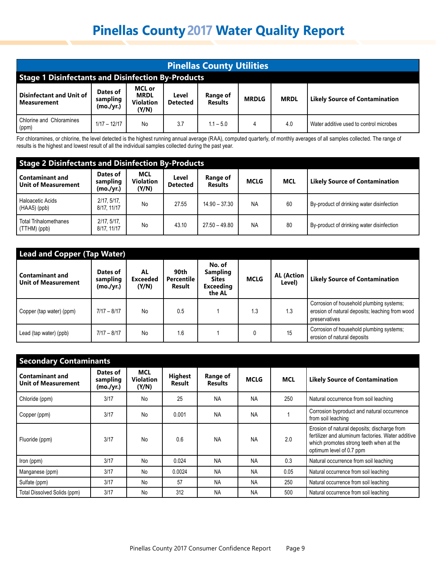| <b>Pinellas County Utilities</b>                                                                                                                                                                                                                                       |  |  |  |  |  |  |  |  |  |
|------------------------------------------------------------------------------------------------------------------------------------------------------------------------------------------------------------------------------------------------------------------------|--|--|--|--|--|--|--|--|--|
| <b>Stage 1 Disinfectants and Disinfection By-Products</b>                                                                                                                                                                                                              |  |  |  |  |  |  |  |  |  |
| MCL or<br>Dates of<br>Disinfectant and Unit of<br><b>MRDL</b><br>Range of<br>Level<br><b>MRDLG</b><br><b>MRDL</b><br><b>Likely Source of Contamination</b><br>sampling<br><b>Violation</b><br><b>Detected</b><br>l Measurement<br><b>Results</b><br>(mo./yr.)<br>(Y/N) |  |  |  |  |  |  |  |  |  |
| <b>Chlorine and Chloramines</b><br>$1/17 - 12/17$<br>3.7<br>$1.1 - 5.0$<br>No<br>4.0<br>Water additive used to control microbes<br>4<br>(ppm)                                                                                                                          |  |  |  |  |  |  |  |  |  |

For chloramines, or chlorine, the level detected is the highest running annual average (RAA), computed quarterly, of monthly averages of all samples collected. The range of results is the highest and lowest result of all the individual samples collected during the past year.

| <b>Stage 2 Disinfectants and Disinfection By-Products</b> |                                   |                                         |                          |                            |             |            |                                           |  |  |
|-----------------------------------------------------------|-----------------------------------|-----------------------------------------|--------------------------|----------------------------|-------------|------------|-------------------------------------------|--|--|
| Contaminant and<br><b>Unit of Measurement</b>             | Dates of<br>sampling<br>(mo./yr.) | <b>MCL</b><br><b>Violation</b><br>(Y/N) | Level<br><b>Detected</b> | Range of<br><b>Results</b> | <b>MCLG</b> | <b>MCL</b> | <b>Likely Source of Contamination</b>     |  |  |
| Haloacetic Acids<br>$H(HAA5)$ (ppb)                       | 2/17, 5/17,<br>8/17, 11/17        | No                                      | 27.55                    | $14.90 - 37.30$            | <b>NA</b>   | 60         | By-product of drinking water disinfection |  |  |
| <b>Total Trihalomethanes</b><br>$\vert$ (TTHM) (ppb)      | 2/17, 5/17,<br>8/17, 11/17        | No                                      | 43.10                    | $27.50 - 49.80$            | <b>NA</b>   | 80         | By-product of drinking water disinfection |  |  |

| <b>Lead and Copper (Tap Water)</b>                   |                                   |                                |                                     |                                                                         |             |                             |                                                                                                              |  |  |
|------------------------------------------------------|-----------------------------------|--------------------------------|-------------------------------------|-------------------------------------------------------------------------|-------------|-----------------------------|--------------------------------------------------------------------------------------------------------------|--|--|
| <b>Contaminant and</b><br><b>Unit of Measurement</b> | Dates of<br>sampling<br>(mo./yr.) | AL<br><b>Exceeded</b><br>(Y/N) | 90th<br><b>Percentile</b><br>Result | No. of<br><b>Sampling</b><br><b>Sites</b><br><b>Exceeding</b><br>the AL | <b>MCLG</b> | <b>AL (Action</b><br>Level) | <b>Likely Source of Contamination</b>                                                                        |  |  |
| Copper (tap water) (ppm)                             | $7/17 - 8/17$                     | No                             | 0.5                                 |                                                                         | 1.3         | 1.3                         | Corrosion of household plumbing systems;<br>erosion of natural deposits; leaching from wood<br>preservatives |  |  |
| Lead (tap water) (ppb)                               | $7/17 - 8/17$                     | No                             | 1.6                                 |                                                                         | 0           | 15                          | Corrosion of household plumbing systems;<br>erosion of natural deposits                                      |  |  |

| <b>Secondary Contaminants</b>                        |                                   |                                         |                          |                            |             |            |                                                                                                                                                                         |  |  |
|------------------------------------------------------|-----------------------------------|-----------------------------------------|--------------------------|----------------------------|-------------|------------|-------------------------------------------------------------------------------------------------------------------------------------------------------------------------|--|--|
| <b>Contaminant and</b><br><b>Unit of Measurement</b> | Dates of<br>sampling<br>(mo./yr.) | <b>MCL</b><br><b>Violation</b><br>(Y/N) | <b>Highest</b><br>Result | Range of<br><b>Results</b> | <b>MCLG</b> | <b>MCL</b> | <b>Likely Source of Contamination</b>                                                                                                                                   |  |  |
| Chloride (ppm)                                       | 3/17                              | No                                      | 25                       | <b>NA</b>                  | <b>NA</b>   | 250        | Natural occurrence from soil leaching                                                                                                                                   |  |  |
| Copper (ppm)                                         | 3/17                              | No                                      | 0.001                    | <b>NA</b>                  | <b>NA</b>   |            | Corrosion byproduct and natural occurrence<br>from soil leaching                                                                                                        |  |  |
| Fluoride (ppm)                                       | 3/17                              | No                                      | 0.6                      | <b>NA</b>                  | <b>NA</b>   | 2.0        | Erosion of natural deposits; discharge from<br>fertilizer and aluminum factories. Water additive<br>which promotes strong teeth when at the<br>optimum level of 0.7 ppm |  |  |
| Iron (ppm)                                           | 3/17                              | No                                      | 0.024                    | <b>NA</b>                  | <b>NA</b>   | 0.3        | Natural occurrence from soil leaching                                                                                                                                   |  |  |
| Manganese (ppm)                                      | 3/17                              | No                                      | 0.0024                   | <b>NA</b>                  | <b>NA</b>   | 0.05       | Natural occurrence from soil leaching                                                                                                                                   |  |  |
| Sulfate (ppm)                                        | 3/17                              | <b>No</b>                               | 57                       | <b>NA</b>                  | <b>NA</b>   | 250        | Natural occurrence from soil leaching                                                                                                                                   |  |  |
| Total Dissolved Solids (ppm)                         | 3/17                              | No                                      | 312                      | <b>NA</b>                  | <b>NA</b>   | 500        | Natural occurrence from soil leaching                                                                                                                                   |  |  |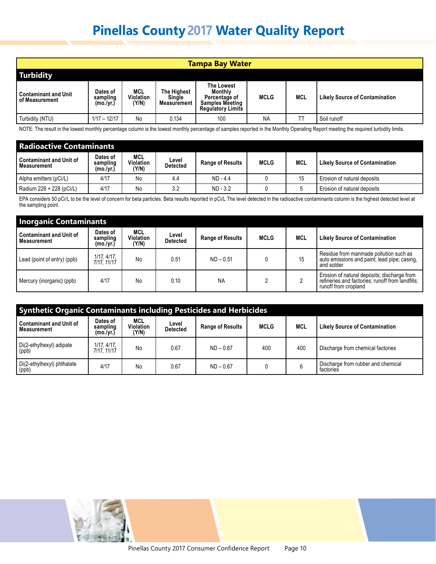| Tampa Bay Water                               |                                   |                           |                                             |                                                                                                     |             |            |                                       |  |  |  |  |
|-----------------------------------------------|-----------------------------------|---------------------------|---------------------------------------------|-----------------------------------------------------------------------------------------------------|-------------|------------|---------------------------------------|--|--|--|--|
| <b>Turbidity</b>                              |                                   |                           |                                             |                                                                                                     |             |            |                                       |  |  |  |  |
| <b>Contaminant and Unit</b><br>of Measurement | Dates of<br>sampling<br>(mo./yr.) | MCL<br>Violation<br>(Y/N) | <b>The Highest</b><br>Single<br>Measurement | <b>The Lowest</b><br>Monthly<br>Percentage of<br><b>Samples Meeting</b><br><b>Regulatory Limits</b> | <b>MCLG</b> | <b>MCL</b> | <b>Likely Source of Contamination</b> |  |  |  |  |
| Turbidity (NTU)                               | $1/17 - 12/17$                    | No                        | 0.134                                       | 100                                                                                                 | <b>NA</b>   | ТT         | Soil runoff                           |  |  |  |  |

NOTE: The result in the lowest monthly percentage column is the lowest monthly percentage of samples reported in the Monthly Operating Report meeting the required turbidity limits.

| <b>Radioactive Contaminants</b>               |                                   |                           |                          |                         |             |     |                                       |  |  |  |  |
|-----------------------------------------------|-----------------------------------|---------------------------|--------------------------|-------------------------|-------------|-----|---------------------------------------|--|--|--|--|
| <b>Contaminant and Unit of</b><br>Measurement | Dates of<br>sampling<br>(mo./vr.) | MCL<br>Violation<br>(Y/N) | Level<br><b>Detected</b> | <b>Range of Results</b> | <b>MCLG</b> | MCL | <b>Likely Source of Contamination</b> |  |  |  |  |
| Alpha emitters (pCi/L)                        | 4/17                              | No                        | 4.4                      | $ND - 4.4$              |             | 15  | Erosion of natural deposits           |  |  |  |  |
| Radium 226 + 228 (pCi/L)                      | 4/17                              | No                        | 3.2                      | $ND - 3.2$              |             |     | Erosion of natural deposits           |  |  |  |  |

EPA considers 50 pCi/L to be the level of concern for beta particles. Beta results reported in pCi/L The level detected in the radioactive contaminants column is the highest detected level at the sampling point.

| <b>Inorganic Contaminants</b>                 |                                   |                           |                          |                         |             |            |                                                                                                                         |  |  |  |  |  |
|-----------------------------------------------|-----------------------------------|---------------------------|--------------------------|-------------------------|-------------|------------|-------------------------------------------------------------------------------------------------------------------------|--|--|--|--|--|
| <b>Contaminant and Unit of</b><br>Measurement | Dates of<br>sampling<br>(mo./yr.) | MCL<br>Violation<br>(Y/N) | Level<br><b>Detected</b> | <b>Range of Results</b> | <b>MCLG</b> | <b>MCL</b> | <b>Likely Source of Contamination</b>                                                                                   |  |  |  |  |  |
| Lead (point of entry) (ppb)                   | 1/17, 4/17,<br>7/17, 11/17        | No                        | 0.51                     | $ND - 0.51$             |             | 15         | Residue from manmade pollution such as<br>auto emissions and paint; lead pipe; casing,<br>and solder                    |  |  |  |  |  |
| Mercury (inorganic) (ppb)                     | 4/17                              | No                        | 0.10                     | <b>NA</b>               |             |            | Erosion of natural deposits; discharge from<br>refineries and factories; runoff from landfills;<br>runoff from cropland |  |  |  |  |  |

| <b>Synthetic Organic Contaminants including Pesticides and Herbicides</b> |                                   |                           |                          |                         |             |            |                                                 |  |  |  |  |  |
|---------------------------------------------------------------------------|-----------------------------------|---------------------------|--------------------------|-------------------------|-------------|------------|-------------------------------------------------|--|--|--|--|--|
| l Contaminant and Unit of<br>l Measurement                                | Dates of<br>sampling<br>(mo./yr.) | MCL<br>Violation<br>(Y/N) | Level<br><b>Detected</b> | <b>Range of Results</b> | <b>MCLG</b> | <b>MCL</b> | <b>Likely Source of Contamination</b>           |  |  |  |  |  |
| Di(2-ethylhexyl) adipate<br>(ppb)                                         | 1/17, 4/17,<br>7/17, 11/17        | No                        | 0.67                     | $ND - 0.67$             | 400         | 400        | Discharge from chemical factories               |  |  |  |  |  |
| Di(2-ethylhexyl) phthalate<br>(ppb)                                       | 4/17                              | No                        | 0.67                     | $ND - 0.67$             |             | 6          | Discharge from rubber and chemical<br>factories |  |  |  |  |  |